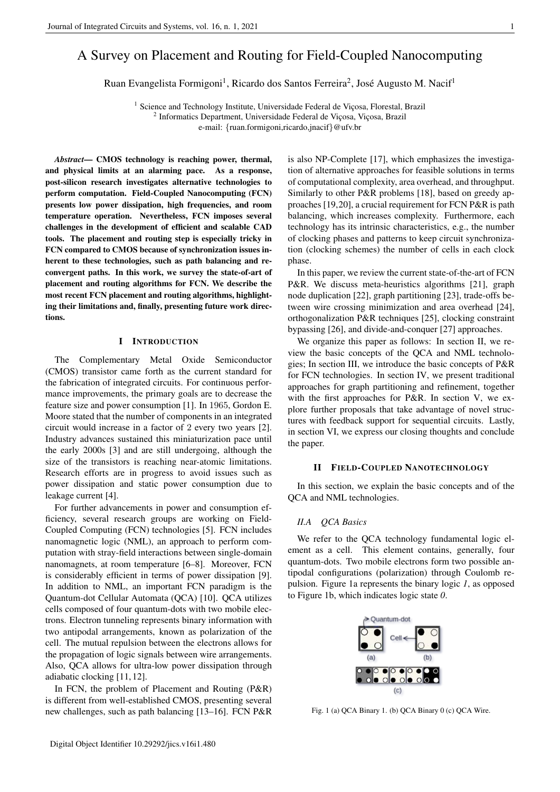# A Survey on Placement and Routing for Field-Coupled Nanocomputing

Ruan Evangelista Formigoni<sup>1</sup>, Ricardo dos Santos Ferreira<sup>2</sup>, José Augusto M. Nacif<sup>1</sup>

<sup>1</sup> Science and Technology Institute, Universidade Federal de Viçosa, Florestal, Brazil <sup>2</sup> Informatics Department, Universidade Federal de Viçosa, Viçosa, Brazil e-mail: {ruan.formigoni,ricardo,jnacif}@ufv.br

*Abstract*— CMOS technology is reaching power, thermal, and physical limits at an alarming pace. As a response, post-silicon research investigates alternative technologies to perform computation. Field-Coupled Nanocomputing (FCN) presents low power dissipation, high frequencies, and room temperature operation. Nevertheless, FCN imposes several challenges in the development of efficient and scalable CAD tools. The placement and routing step is especially tricky in FCN compared to CMOS because of synchronization issues inherent to these technologies, such as path balancing and reconvergent paths. In this work, we survey the state-of-art of placement and routing algorithms for FCN. We describe the most recent FCN placement and routing algorithms, highlighting their limitations and, finally, presenting future work directions.

### I INTRODUCTION

The Complementary Metal Oxide Semiconductor (CMOS) transistor came forth as the current standard for the fabrication of integrated circuits. For continuous performance improvements, the primary goals are to decrease the feature size and power consumption [1]. In 1965, Gordon E. Moore stated that the number of components in an integrated circuit would increase in a factor of 2 every two years [2]. Industry advances sustained this miniaturization pace until the early 2000s [3] and are still undergoing, although the size of the transistors is reaching near-atomic limitations. Research efforts are in progress to avoid issues such as power dissipation and static power consumption due to leakage current [4].

For further advancements in power and consumption efficiency, several research groups are working on Field-Coupled Computing (FCN) technologies [5]. FCN includes nanomagnetic logic (NML), an approach to perform computation with stray-field interactions between single-domain nanomagnets, at room temperature [6–8]. Moreover, FCN is considerably efficient in terms of power dissipation [9]. In addition to NML, an important FCN paradigm is the Quantum-dot Cellular Automata (QCA) [10]. QCA utilizes cells composed of four quantum-dots with two mobile electrons. Electron tunneling represents binary information with two antipodal arrangements, known as polarization of the cell. The mutual repulsion between the electrons allows for the propagation of logic signals between wire arrangements. Also, QCA allows for ultra-low power dissipation through adiabatic clocking [11, 12].

In FCN, the problem of Placement and Routing (P&R) is different from well-established CMOS, presenting several new challenges, such as path balancing [13–16]. FCN P&R is also NP-Complete [17], which emphasizes the investigation of alternative approaches for feasible solutions in terms of computational complexity, area overhead, and throughput. Similarly to other P&R problems [18], based on greedy approaches [19,20], a crucial requirement for FCN P&R is path balancing, which increases complexity. Furthermore, each technology has its intrinsic characteristics, e.g., the number of clocking phases and patterns to keep circuit synchronization (clocking schemes) the number of cells in each clock phase.

In this paper, we review the current state-of-the-art of FCN P&R. We discuss meta-heuristics algorithms [21], graph node duplication [22], graph partitioning [23], trade-offs between wire crossing minimization and area overhead [24], orthogonalization P&R techniques [25], clocking constraint bypassing [26], and divide-and-conquer [27] approaches.

We organize this paper as follows: In section II, we review the basic concepts of the QCA and NML technologies; In section III, we introduce the basic concepts of P&R for FCN technologies. In section IV, we present traditional approaches for graph partitioning and refinement, together with the first approaches for P&R. In section V, we explore further proposals that take advantage of novel structures with feedback support for sequential circuits. Lastly, in section VI, we express our closing thoughts and conclude the paper.

# II FIELD-COUPLED NANOTECHNOLOGY

In this section, we explain the basic concepts and of the QCA and NML technologies.

#### *II.A QCA Basics*

We refer to the QCA technology fundamental logic element as a cell. This element contains, generally, four quantum-dots. Two mobile electrons form two possible antipodal configurations (polarization) through Coulomb repulsion. Figure 1a represents the binary logic *1*, as opposed to Figure 1b, which indicates logic state *0*.



Fig. 1 (a) QCA Binary 1. (b) QCA Binary 0 (c) QCA Wire.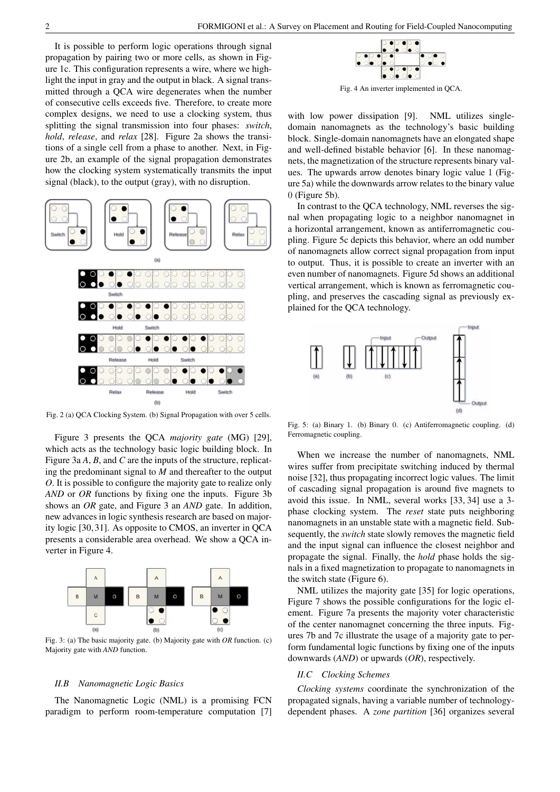It is possible to perform logic operations through signal propagation by pairing two or more cells, as shown in Figure 1c. This configuration represents a wire, where we highlight the input in gray and the output in black. A signal transmitted through a QCA wire degenerates when the number of consecutive cells exceeds five. Therefore, to create more complex designs, we need to use a clocking system, thus splitting the signal transmission into four phases: *switch*, *hold*, *release*, and *relax* [28]. Figure 2a shows the transitions of a single cell from a phase to another. Next, in Figure 2b, an example of the signal propagation demonstrates how the clocking system systematically transmits the input signal (black), to the output (gray), with no disruption.



Fig. 2 (a) QCA Clocking System. (b) Signal Propagation with over 5 cells.

Figure 3 presents the QCA *majority gate* (MG) [29], which acts as the technology basic logic building block. In Figure 3a *A*, *B*, and *C* are the inputs of the structure, replicating the predominant signal to *M* and thereafter to the output *O*. It is possible to configure the majority gate to realize only *AND* or *OR* functions by fixing one the inputs. Figure 3b shows an *OR* gate, and Figure 3 an *AND* gate. In addition, new advances in logic synthesis research are based on majority logic [30, 31]. As opposite to CMOS, an inverter in QCA presents a considerable area overhead. We show a QCA inverter in Figure 4.



Fig. 3: (a) The basic majority gate. (b) Majority gate with *OR* function. (c) Majority gate with *AND* function.

#### *II.B Nanomagnetic Logic Basics*

The Nanomagnetic Logic (NML) is a promising FCN paradigm to perform room-temperature computation [7]



Fig. 4 An inverter implemented in QCA.

with low power dissipation [9]. NML utilizes singledomain nanomagnets as the technology's basic building block. Single-domain nanomagnets have an elongated shape and well-defined bistable behavior [6]. In these nanomagnets, the magnetization of the structure represents binary values. The upwards arrow denotes binary logic value 1 (Figure 5a) while the downwards arrow relates to the binary value 0 (Figure 5b).

In contrast to the QCA technology, NML reverses the signal when propagating logic to a neighbor nanomagnet in a horizontal arrangement, known as antiferromagnetic coupling. Figure 5c depicts this behavior, where an odd number of nanomagnets allow correct signal propagation from input to output. Thus, it is possible to create an inverter with an even number of nanomagnets. Figure 5d shows an additional vertical arrangement, which is known as ferromagnetic coupling, and preserves the cascading signal as previously explained for the QCA technology.



Fig. 5: (a) Binary 1. (b) Binary 0. (c) Antiferromagnetic coupling. (d) Ferromagnetic coupling.

When we increase the number of nanomagnets, NML wires suffer from precipitate switching induced by thermal noise [32], thus propagating incorrect logic values. The limit of cascading signal propagation is around five magnets to avoid this issue. In NML, several works [33, 34] use a 3 phase clocking system. The *reset* state puts neighboring nanomagnets in an unstable state with a magnetic field. Subsequently, the *switch* state slowly removes the magnetic field and the input signal can influence the closest neighbor and propagate the signal. Finally, the *hold* phase holds the signals in a fixed magnetization to propagate to nanomagnets in the switch state (Figure 6).

NML utilizes the majority gate [35] for logic operations, Figure 7 shows the possible configurations for the logic element. Figure 7a presents the majority voter characteristic of the center nanomagnet concerning the three inputs. Figures 7b and 7c illustrate the usage of a majority gate to perform fundamental logic functions by fixing one of the inputs downwards (*AND*) or upwards (*OR*), respectively.

# *II.C Clocking Schemes*

*Clocking systems* coordinate the synchronization of the propagated signals, having a variable number of technologydependent phases. A *zone partition* [36] organizes several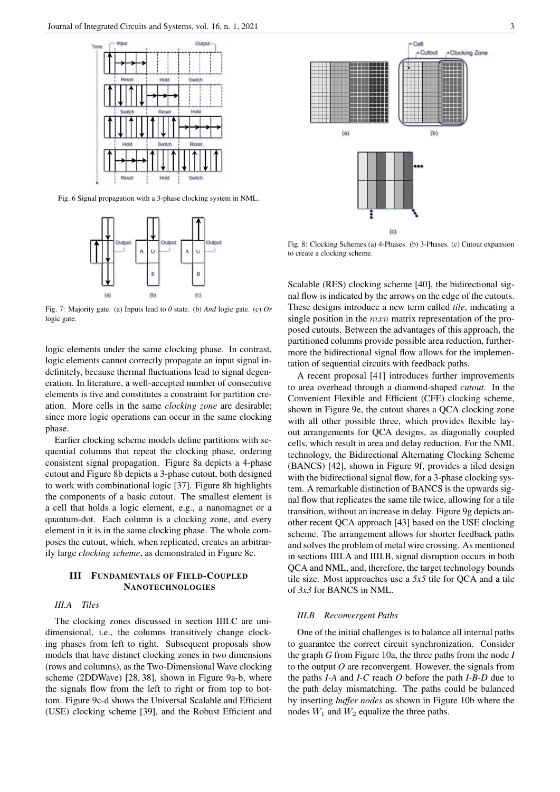

Fig. 6 Signal propagation with a 3-phase clocking system in NML.



Fig. 7: Majority gate. (a) Inputs lead to *0* state. (b) *And* logic gate. (c) *Or* logic gate.

logic elements under the same clocking phase. In contrast, logic elements cannot correctly propagate an input signal indefinitely, because thermal fluctuations lead to signal degeneration. In literature, a well-accepted number of consecutive elements is five and constitutes a constraint for partition creation. More cells in the same *clocking zone* are desirable; since more logic operations can occur in the same clocking phase.

Earlier clocking scheme models define partitions with sequential columns that repeat the clocking phase, ordering consistent signal propagation. Figure 8a depicts a 4-phase cutout and Figure 8b depicts a 3-phase cutout, both designed to work with combinational logic [37]. Figure 8b highlights the components of a basic cutout. The smallest element is a cell that holds a logic element, e.g., a nanomagnet or a quantum-dot. Each column is a clocking zone, and every element in it is in the same clocking phase. The whole composes the cutout, which, when replicated, creates an arbitrarily large *clocking scheme*, as demonstrated in Figure 8c.

# III FUNDAMENTALS OF FIELD-COUPLED **NANOTECHNOLOGIES**

# *III.A Tiles*

The clocking zones discussed in section IIII.C are unidimensional, i.e., the columns transitively change clocking phases from left to right. Subsequent proposals show models that have distinct clocking zones in two dimensions (rows and columns), as the Two-Dimensional Wave clocking scheme (2DDWave) [28, 38], shown in Figure 9a-b, where the signals flow from the left to right or from top to bottom. Figure 9c-d shows the Universal Scalable and Efficient (USE) clocking scheme [39], and the Robust Efficient and



Fig. 8: Clocking Schemes (a) 4-Phases. (b) 3-Phases. (c) Cutout expansion to create a clocking scheme.

Scalable (RES) clocking scheme [40], the bidirectional signal flow is indicated by the arrows on the edge of the cutouts. These designs introduce a new term called *tile*, indicating a single position in the  $mxn$  matrix representation of the proposed cutouts. Between the advantages of this approach, the partitioned columns provide possible area reduction, furthermore the bidirectional signal flow allows for the implementation of sequential circuits with feedback paths.

A recent proposal [41] introduces further improvements to area overhead through a diamond-shaped *cutout*. In the Convenient Flexible and Efficient (CFE) clocking scheme, shown in Figure 9e, the cutout shares a QCA clocking zone with all other possible three, which provides flexible layout arrangements for QCA designs, as diagonally coupled cells, which result in area and delay reduction. For the NML technology, the Bidirectional Alternating Clocking Scheme (BANCS) [42], shown in Figure 9f, provides a tiled design with the bidirectional signal flow, for a 3-phase clocking system. A remarkable distinction of BANCS is the upwards signal flow that replicates the same tile twice, allowing for a tile transition, without an increase in delay. Figure 9g depicts another recent QCA approach [43] based on the USE clocking scheme. The arrangement allows for shorter feedback paths and solves the problem of metal wire crossing. As mentioned in sections IIII.A and IIII.B, signal disruption occurs in both QCA and NML, and, therefore, the target technology bounds tile size. Most approaches use a *5x5* tile for QCA and a tile of *3x3* for BANCS in NML.

## *III.B Reconvergent Paths*

One of the initial challenges is to balance all internal paths to guarantee the correct circuit synchronization. Consider the graph *G* from Figure 10a, the three paths from the node *I* to the output *O* are reconvergent. However, the signals from the paths *I-A* and *I-C* reach *O* before the path *I-B-D* due to the path delay mismatching. The paths could be balanced by inserting *buffer nodes* as shown in Figure 10b where the nodes  $W_1$  and  $W_2$  equalize the three paths.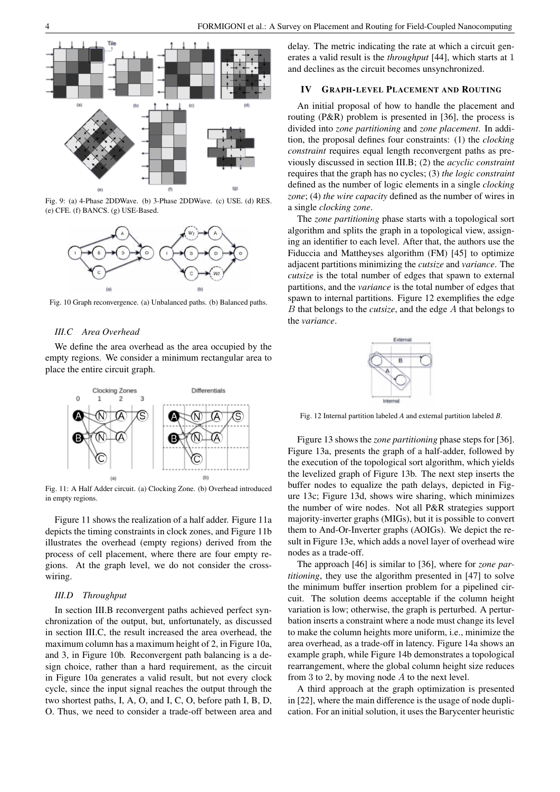

Fig. 9: (a) 4-Phase 2DDWave. (b) 3-Phase 2DDWave. (c) USE. (d) RES. (e) CFE. (f) BANCS. (g) USE-Based.



Fig. 10 Graph reconvergence. (a) Unbalanced paths. (b) Balanced paths.

#### *III.C Area Overhead*

We define the area overhead as the area occupied by the empty regions. We consider a minimum rectangular area to place the entire circuit graph.



Fig. 11: A Half Adder circuit. (a) Clocking Zone. (b) Overhead introduced in empty regions.

Figure 11 shows the realization of a half adder. Figure 11a depicts the timing constraints in clock zones, and Figure 11b illustrates the overhead (empty regions) derived from the process of cell placement, where there are four empty regions. At the graph level, we do not consider the crosswiring.

#### *III.D Throughput*

In section III.B reconvergent paths achieved perfect synchronization of the output, but, unfortunately, as discussed in section III.C, the result increased the area overhead, the maximum column has a maximum height of 2, in Figure 10a, and 3, in Figure 10b. Reconvergent path balancing is a design choice, rather than a hard requirement, as the circuit in Figure 10a generates a valid result, but not every clock cycle, since the input signal reaches the output through the two shortest paths, I, A, O, and I, C, O, before path I, B, D, O. Thus, we need to consider a trade-off between area and delay. The metric indicating the rate at which a circuit generates a valid result is the *throughput* [44], which starts at 1 and declines as the circuit becomes unsynchronized.

## IV GRAPH-LEVEL PLACEMENT AND ROUTING

An initial proposal of how to handle the placement and routing (P&R) problem is presented in [36], the process is divided into *zone partitioning* and *zone placement*. In addition, the proposal defines four constraints: (1) the *clocking constraint* requires equal length reconvergent paths as previously discussed in section III.B; (2) the *acyclic constraint* requires that the graph has no cycles; (3) *the logic constraint* defined as the number of logic elements in a single *clocking zone*; (4) *the wire capacity* defined as the number of wires in a single *clocking zone*.

The *zone partitioning* phase starts with a topological sort algorithm and splits the graph in a topological view, assigning an identifier to each level. After that, the authors use the Fiduccia and Mattheyses algorithm (FM) [45] to optimize adjacent partitions minimizing the *cutsize* and *variance*. The *cutsize* is the total number of edges that spawn to external partitions, and the *variance* is the total number of edges that spawn to internal partitions. Figure 12 exemplifies the edge B that belongs to the *cutsize*, and the edge A that belongs to the *variance*.



Fig. 12 Internal partition labeled *A* and external partition labeled *B*.

Figure 13 shows the *zone partitioning* phase steps for [36]. Figure 13a, presents the graph of a half-adder, followed by the execution of the topological sort algorithm, which yields the levelized graph of Figure 13b. The next step inserts the buffer nodes to equalize the path delays, depicted in Figure 13c; Figure 13d, shows wire sharing, which minimizes the number of wire nodes. Not all P&R strategies support majority-inverter graphs (MIGs), but it is possible to convert them to And-Or-Inverter graphs (AOIGs). We depict the result in Figure 13e, which adds a novel layer of overhead wire nodes as a trade-off.

The approach [46] is similar to [36], where for *zone partitioning*, they use the algorithm presented in [47] to solve the minimum buffer insertion problem for a pipelined circuit. The solution deems acceptable if the column height variation is low; otherwise, the graph is perturbed. A perturbation inserts a constraint where a node must change its level to make the column heights more uniform, i.e., minimize the area overhead, as a trade-off in latency. Figure 14a shows an example graph, while Figure 14b demonstrates a topological rearrangement, where the global column height size reduces from 3 to 2, by moving node A to the next level.

A third approach at the graph optimization is presented in [22], where the main difference is the usage of node duplication. For an initial solution, it uses the Barycenter heuristic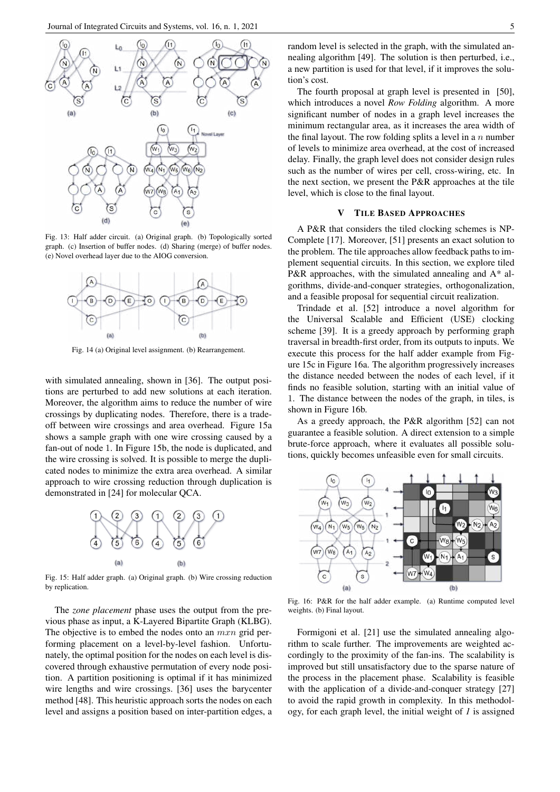

Fig. 13: Half adder circuit. (a) Original graph. (b) Topologically sorted graph. (c) Insertion of buffer nodes. (d) Sharing (merge) of buffer nodes. (e) Novel overhead layer due to the AIOG conversion.



Fig. 14 (a) Original level assignment. (b) Rearrangement.

with simulated annealing, shown in [36]. The output positions are perturbed to add new solutions at each iteration. Moreover, the algorithm aims to reduce the number of wire crossings by duplicating nodes. Therefore, there is a tradeoff between wire crossings and area overhead. Figure 15a shows a sample graph with one wire crossing caused by a fan-out of node 1. In Figure 15b, the node is duplicated, and the wire crossing is solved. It is possible to merge the duplicated nodes to minimize the extra area overhead. A similar approach to wire crossing reduction through duplication is demonstrated in [24] for molecular QCA.



Fig. 15: Half adder graph. (a) Original graph. (b) Wire crossing reduction by replication.

The *zone placement* phase uses the output from the previous phase as input, a K-Layered Bipartite Graph (KLBG). The objective is to embed the nodes onto an  $mxn$  grid performing placement on a level-by-level fashion. Unfortunately, the optimal position for the nodes on each level is discovered through exhaustive permutation of every node position. A partition positioning is optimal if it has minimized wire lengths and wire crossings. [36] uses the barycenter method [48]. This heuristic approach sorts the nodes on each level and assigns a position based on inter-partition edges, a random level is selected in the graph, with the simulated annealing algorithm [49]. The solution is then perturbed, i.e., a new partition is used for that level, if it improves the solution's cost.

The fourth proposal at graph level is presented in [50], which introduces a novel *Row Folding* algorithm. A more significant number of nodes in a graph level increases the minimum rectangular area, as it increases the area width of the final layout. The row folding splits a level in a  $n$  number of levels to minimize area overhead, at the cost of increased delay. Finally, the graph level does not consider design rules such as the number of wires per cell, cross-wiring, etc. In the next section, we present the P&R approaches at the tile level, which is close to the final layout.

### V TILE BASED APPROACHES

A P&R that considers the tiled clocking schemes is NP-Complete [17]. Moreover, [51] presents an exact solution to the problem. The tile approaches allow feedback paths to implement sequential circuits. In this section, we explore tiled P&R approaches, with the simulated annealing and A\* algorithms, divide-and-conquer strategies, orthogonalization, and a feasible proposal for sequential circuit realization.

Trindade et al. [52] introduce a novel algorithm for the Universal Scalable and Efficient (USE) clocking scheme [39]. It is a greedy approach by performing graph traversal in breadth-first order, from its outputs to inputs. We execute this process for the half adder example from Figure 15c in Figure 16a. The algorithm progressively increases the distance needed between the nodes of each level, if it finds no feasible solution, starting with an initial value of 1. The distance between the nodes of the graph, in tiles, is shown in Figure 16b.

As a greedy approach, the P&R algorithm [52] can not guarantee a feasible solution. A direct extension to a simple brute-force approach, where it evaluates all possible solutions, quickly becomes unfeasible even for small circuits.



Fig. 16: P&R for the half adder example. (a) Runtime computed level weights. (b) Final layout.

Formigoni et al. [21] use the simulated annealing algorithm to scale further. The improvements are weighted accordingly to the proximity of the fan-ins. The scalability is improved but still unsatisfactory due to the sparse nature of the process in the placement phase. Scalability is feasible with the application of a divide-and-conquer strategy [27] to avoid the rapid growth in complexity. In this methodology, for each graph level, the initial weight of *1* is assigned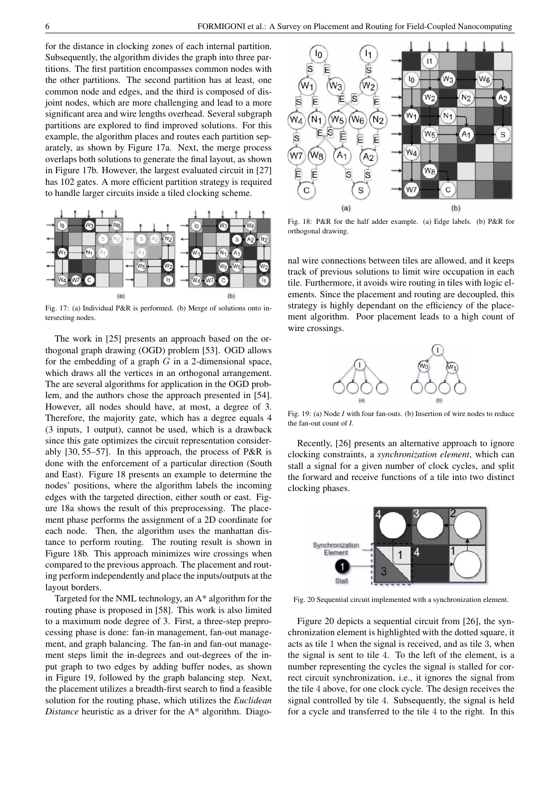for the distance in clocking zones of each internal partition. Subsequently, the algorithm divides the graph into three partitions. The first partition encompasses common nodes with the other partitions. The second partition has at least, one common node and edges, and the third is composed of disjoint nodes, which are more challenging and lead to a more significant area and wire lengths overhead. Several subgraph partitions are explored to find improved solutions. For this example, the algorithm places and routes each partition separately, as shown by Figure 17a. Next, the merge process overlaps both solutions to generate the final layout, as shown in Figure 17b. However, the largest evaluated circuit in [27] has 102 gates. A more efficient partition strategy is required to handle larger circuits inside a tiled clocking scheme.



Fig. 17: (a) Individual P&R is performed. (b) Merge of solutions onto intersecting nodes.

The work in [25] presents an approach based on the orthogonal graph drawing (OGD) problem [53]. OGD allows for the embedding of a graph  $G$  in a 2-dimensional space, which draws all the vertices in an orthogonal arrangement. The are several algorithms for application in the OGD problem, and the authors chose the approach presented in [54]. However, all nodes should have, at most, a degree of 3. Therefore, the majority gate, which has a degree equals 4 (3 inputs, 1 output), cannot be used, which is a drawback since this gate optimizes the circuit representation considerably [30, 55–57]. In this approach, the process of P&R is done with the enforcement of a particular direction (South and East). Figure 18 presents an example to determine the nodes' positions, where the algorithm labels the incoming edges with the targeted direction, either south or east. Figure 18a shows the result of this preprocessing. The placement phase performs the assignment of a 2D coordinate for each node. Then, the algorithm uses the manhattan distance to perform routing. The routing result is shown in Figure 18b. This approach minimizes wire crossings when compared to the previous approach. The placement and routing perform independently and place the inputs/outputs at the layout borders.

Targeted for the NML technology, an A\* algorithm for the routing phase is proposed in [58]. This work is also limited to a maximum node degree of 3. First, a three-step preprocessing phase is done: fan-in management, fan-out management, and graph balancing. The fan-in and fan-out management steps limit the in-degrees and out-degrees of the input graph to two edges by adding buffer nodes, as shown in Figure 19, followed by the graph balancing step. Next, the placement utilizes a breadth-first search to find a feasible solution for the routing phase, which utilizes the *Euclidean Distance* heuristic as a driver for the A\* algorithm. Diago-



Fig. 18: P&R for the half adder example. (a) Edge labels. (b) P&R for orthogonal drawing.

nal wire connections between tiles are allowed, and it keeps track of previous solutions to limit wire occupation in each tile. Furthermore, it avoids wire routing in tiles with logic elements. Since the placement and routing are decoupled, this strategy is highly dependant on the efficiency of the placement algorithm. Poor placement leads to a high count of wire crossings.



Fig. 19: (a) Node *I* with four fan-outs. (b) Insertion of wire nodes to reduce the fan-out count of *I*.

Recently, [26] presents an alternative approach to ignore clocking constraints, a *synchronization element*, which can stall a signal for a given number of clock cycles, and split the forward and receive functions of a tile into two distinct clocking phases.



Fig. 20 Sequential circuit implemented with a synchronization element.

Figure 20 depicts a sequential circuit from [26], the synchronization element is highlighted with the dotted square, it acts as tile 1 when the signal is received, and as tile 3, when the signal is sent to tile 4. To the left of the element, is a number representing the cycles the signal is stalled for correct circuit synchronization, i.e., it ignores the signal from the tile 4 above, for one clock cycle. The design receives the signal controlled by tile 4. Subsequently, the signal is held for a cycle and transferred to the tile 4 to the right. In this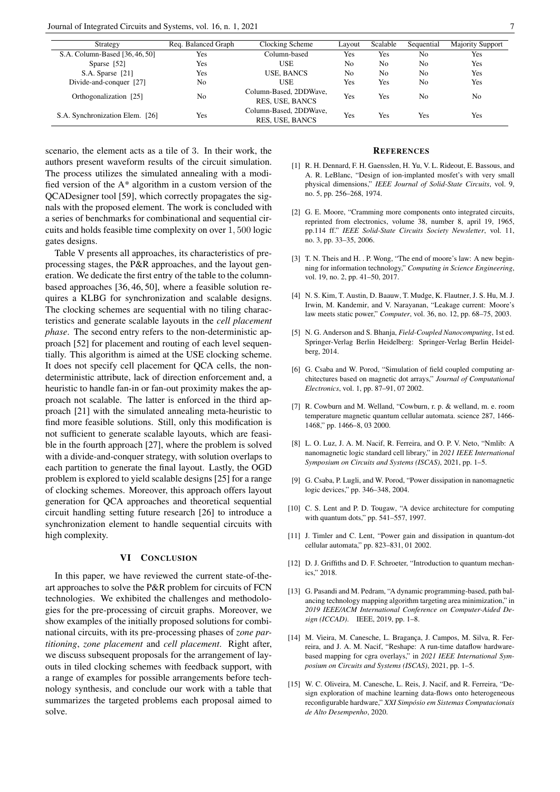| Strategy                        | Reg. Balanced Graph | Clocking Scheme                           | Layout         | Scalable       | Sequential     | <b>Majority Support</b> |
|---------------------------------|---------------------|-------------------------------------------|----------------|----------------|----------------|-------------------------|
| S.A. Column-Based [36, 46, 50]  | Yes                 | Column-based                              | Yes            | Yes            | No             | Yes                     |
| Sparse [52]                     | Yes                 | <b>USE</b>                                | No             | No             | No             | Yes                     |
| S.A. Sparse [21]                | Yes                 | <b>USE, BANCS</b>                         | N <sub>0</sub> | N <sub>o</sub> | No             | Yes                     |
| Divide-and-conquer [27]         | No                  | USE                                       | Yes            | Yes            | N <sub>0</sub> | Yes                     |
| Orthogonalization [25]          | No                  | Column-Based, 2DDWave,<br>RES, USE, BANCS | Yes            | Yes            | No             | No                      |
| S.A. Synchronization Elem. [26] | Yes                 | Column-Based, 2DDWave,<br>RES, USE, BANCS | Yes            | Yes            | Yes            | Yes                     |

scenario, the element acts as a tile of 3. In their work, the authors present waveform results of the circuit simulation. The process utilizes the simulated annealing with a modified version of the A\* algorithm in a custom version of the QCADesigner tool [59], which correctly propagates the signals with the proposed element. The work is concluded with a series of benchmarks for combinational and sequential circuits and holds feasible time complexity on over 1, 500 logic gates designs.

Table V presents all approaches, its characteristics of preprocessing stages, the P&R approaches, and the layout generation. We dedicate the first entry of the table to the columnbased approaches [36, 46, 50], where a feasible solution requires a KLBG for synchronization and scalable designs. The clocking schemes are sequential with no tiling characteristics and generate scalable layouts in the *cell placement phase*. The second entry refers to the non-deterministic approach [52] for placement and routing of each level sequentially. This algorithm is aimed at the USE clocking scheme. It does not specify cell placement for QCA cells, the nondeterministic attribute, lack of direction enforcement and, a heuristic to handle fan-in or fan-out proximity makes the approach not scalable. The latter is enforced in the third approach [21] with the simulated annealing meta-heuristic to find more feasible solutions. Still, only this modification is not sufficient to generate scalable layouts, which are feasible in the fourth approach [27], where the problem is solved with a divide-and-conquer strategy, with solution overlaps to each partition to generate the final layout. Lastly, the OGD problem is explored to yield scalable designs [25] for a range of clocking schemes. Moreover, this approach offers layout generation for QCA approaches and theoretical sequential circuit handling setting future research [26] to introduce a synchronization element to handle sequential circuits with high complexity.

#### VI CONCLUSION

In this paper, we have reviewed the current state-of-theart approaches to solve the P&R problem for circuits of FCN technologies. We exhibited the challenges and methodologies for the pre-processing of circuit graphs. Moreover, we show examples of the initially proposed solutions for combinational circuits, with its pre-processing phases of *zone partitioning*, *zone placement* and *cell placement*. Right after, we discuss subsequent proposals for the arrangement of layouts in tiled clocking schemes with feedback support, with a range of examples for possible arrangements before technology synthesis, and conclude our work with a table that summarizes the targeted problems each proposal aimed to solve.

## **REFERENCES**

- [1] R. H. Dennard, F. H. Gaensslen, H. Yu, V. L. Rideout, E. Bassous, and A. R. LeBlanc, "Design of ion-implanted mosfet's with very small physical dimensions," *IEEE Journal of Solid-State Circuits*, vol. 9, no. 5, pp. 256–268, 1974.
- [2] G. E. Moore, "Cramming more components onto integrated circuits, reprinted from electronics, volume 38, number 8, april 19, 1965, pp.114 ff." *IEEE Solid-State Circuits Society Newsletter*, vol. 11, no. 3, pp. 33–35, 2006.
- [3] T. N. Theis and H. . P. Wong, "The end of moore's law: A new beginning for information technology," *Computing in Science Engineering*, vol. 19, no. 2, pp. 41–50, 2017.
- [4] N. S. Kim, T. Austin, D. Baauw, T. Mudge, K. Flautner, J. S. Hu, M. J. Irwin, M. Kandemir, and V. Narayanan, "Leakage current: Moore's law meets static power," *Computer*, vol. 36, no. 12, pp. 68–75, 2003.
- [5] N. G. Anderson and S. Bhanja, *Field-Coupled Nanocomputing*, 1st ed. Springer-Verlag Berlin Heidelberg: Springer-Verlag Berlin Heidelberg, 2014.
- [6] G. Csaba and W. Porod, "Simulation of field coupled computing architectures based on magnetic dot arrays," *Journal of Computational Electronics*, vol. 1, pp. 87–91, 07 2002.
- [7] R. Cowburn and M. Welland, "Cowburn, r. p. & welland, m. e. room temperature magnetic quantum cellular automata. science 287, 1466- 1468," pp. 1466–8, 03 2000.
- [8] L. O. Luz, J. A. M. Nacif, R. Ferreira, and O. P. V. Neto, "Nmlib: A nanomagnetic logic standard cell library," in *2021 IEEE International Symposium on Circuits and Systems (ISCAS)*, 2021, pp. 1–5.
- [9] G. Csaba, P. Lugli, and W. Porod, "Power dissipation in nanomagnetic logic devices," pp. 346–348, 2004.
- [10] C. S. Lent and P. D. Tougaw, "A device architecture for computing with quantum dots," pp. 541–557, 1997.
- [11] J. Timler and C. Lent, "Power gain and dissipation in quantum-dot cellular automata," pp. 823–831, 01 2002.
- [12] D. J. Griffiths and D. F. Schroeter, "Introduction to quantum mechanics," 2018.
- [13] G. Pasandi and M. Pedram, "A dynamic programming-based, path balancing technology mapping algorithm targeting area minimization," in *2019 IEEE/ACM International Conference on Computer-Aided Design (ICCAD)*. IEEE, 2019, pp. 1–8.
- [14] M. Vieira, M. Canesche, L. Bragança, J. Campos, M. Silva, R. Ferreira, and J. A. M. Nacif, "Reshape: A run-time dataflow hardwarebased mapping for cgra overlays," in *2021 IEEE International Symposium on Circuits and Systems (ISCAS)*, 2021, pp. 1–5.
- [15] W. C. Oliveira, M. Canesche, L. Reis, J. Nacif, and R. Ferreira, "Design exploration of machine learning data-flows onto heterogeneous reconfigurable hardware," *XXI Simposio em Sistemas Computacionais ´ de Alto Desempenho*, 2020.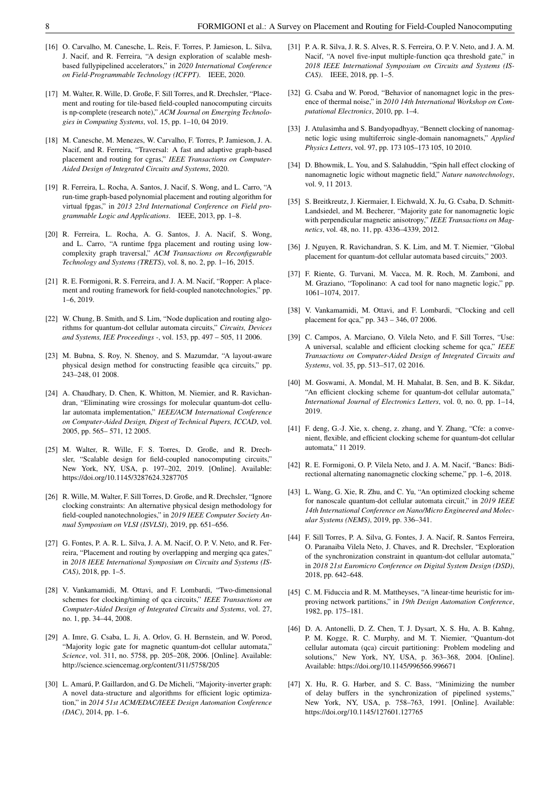- [16] O. Carvalho, M. Canesche, L. Reis, F. Torres, P. Jamieson, L. Silva, J. Nacif, and R. Ferreira, "A design exploration of scalable meshbased fullypipelined accelerators," in *2020 International Conference on Field-Programmable Technology (ICFPT)*. IEEE, 2020.
- [17] M. Walter, R. Wille, D. Große, F. Sill Torres, and R. Drechsler, "Placement and routing for tile-based field-coupled nanocomputing circuits is np-complete (research note)," *ACM Journal on Emerging Technologies in Computing Systems*, vol. 15, pp. 1–10, 04 2019.
- [18] M. Canesche, M. Menezes, W. Carvalho, F. Torres, P. Jamieson, J. A. Nacif, and R. Ferreira, "Traversal: A fast and adaptive graph-based placement and routing for cgras," *IEEE Transactions on Computer-Aided Design of Integrated Circuits and Systems*, 2020.
- [19] R. Ferreira, L. Rocha, A. Santos, J. Nacif, S. Wong, and L. Carro, "A run-time graph-based polynomial placement and routing algorithm for virtual fpgas," in *2013 23rd International Conference on Field programmable Logic and Applications*. IEEE, 2013, pp. 1–8.
- [20] R. Ferreira, L. Rocha, A. G. Santos, J. A. Nacif, S. Wong, and L. Carro, "A runtime fpga placement and routing using lowcomplexity graph traversal," *ACM Transactions on Reconfigurable Technology and Systems (TRETS)*, vol. 8, no. 2, pp. 1–16, 2015.
- [21] R. E. Formigoni, R. S. Ferreira, and J. A. M. Nacif, "Ropper: A placement and routing framework for field-coupled nanotechnologies," pp. 1–6, 2019.
- [22] W. Chung, B. Smith, and S. Lim, "Node duplication and routing algorithms for quantum-dot cellular automata circuits," *Circuits, Devices and Systems, IEE Proceedings -*, vol. 153, pp. 497 – 505, 11 2006.
- [23] M. Bubna, S. Roy, N. Shenoy, and S. Mazumdar, "A layout-aware physical design method for constructing feasible qca circuits," pp. 243–248, 01 2008.
- [24] A. Chaudhary, D. Chen, K. Whitton, M. Niemier, and R. Ravichandran, "Eliminating wire crossings for molecular quantum-dot cellular automata implementation," *IEEE/ACM International Conference on Computer-Aided Design, Digest of Technical Papers, ICCAD*, vol. 2005, pp. 565– 571, 12 2005.
- [25] M. Walter, R. Wille, F. S. Torres, D. Große, and R. Drechsler, "Scalable design for field-coupled nanocomputing circuits," New York, NY, USA, p. 197–202, 2019. [Online]. Available: https://doi.org/10.1145/3287624.3287705
- [26] R. Wille, M. Walter, F. Sill Torres, D. Große, and R. Drechsler, "Ignore clocking constraints: An alternative physical design methodology for field-coupled nanotechnologies," in *2019 IEEE Computer Society Annual Symposium on VLSI (ISVLSI)*, 2019, pp. 651–656.
- [27] G. Fontes, P. A. R. L. Silva, J. A. M. Nacif, O. P. V. Neto, and R. Ferreira, "Placement and routing by overlapping and merging qca gates," in *2018 IEEE International Symposium on Circuits and Systems (IS-CAS)*, 2018, pp. 1–5.
- [28] V. Vankamamidi, M. Ottavi, and F. Lombardi, "Two-dimensional schemes for clocking/timing of qca circuits," *IEEE Transactions on Computer-Aided Design of Integrated Circuits and Systems*, vol. 27, no. 1, pp. 34–44, 2008.
- [29] A. Imre, G. Csaba, L. Ji, A. Orlov, G. H. Bernstein, and W. Porod, "Majority logic gate for magnetic quantum-dot cellular automata," *Science*, vol. 311, no. 5758, pp. 205–208, 2006. [Online]. Available: http://science.sciencemag.org/content/311/5758/205
- [30] L. Amarú, P. Gaillardon, and G. De Micheli, "Majority-inverter graph: A novel data-structure and algorithms for efficient logic optimization," in *2014 51st ACM/EDAC/IEEE Design Automation Conference (DAC)*, 2014, pp. 1–6.
- [31] P. A. R. Silva, J. R. S. Alves, R. S. Ferreira, O. P. V. Neto, and J. A. M. Nacif, "A novel five-input multiple-function qca threshold gate," in *2018 IEEE International Symposium on Circuits and Systems (IS-CAS)*. IEEE, 2018, pp. 1–5.
- [32] G. Csaba and W. Porod, "Behavior of nanomagnet logic in the presence of thermal noise," in *2010 14th International Workshop on Computational Electronics*, 2010, pp. 1–4.
- [33] J. Atulasimha and S. Bandyopadhyay, "Bennett clocking of nanomagnetic logic using multiferroic single-domain nanomagnets," *Applied Physics Letters*, vol. 97, pp. 173 105–173 105, 10 2010.
- [34] D. Bhowmik, L. You, and S. Salahuddin, "Spin hall effect clocking of nanomagnetic logic without magnetic field," *Nature nanotechnology*, vol. 9, 11 2013.
- [35] S. Breitkreutz, J. Kiermaier, I. Eichwald, X. Ju, G. Csaba, D. Schmitt-Landsiedel, and M. Becherer, "Majority gate for nanomagnetic logic with perpendicular magnetic anisotropy," *IEEE Transactions on Magnetics*, vol. 48, no. 11, pp. 4336–4339, 2012.
- [36] J. Nguyen, R. Ravichandran, S. K. Lim, and M. T. Niemier, "Global placement for quantum-dot cellular automata based circuits," 2003.
- [37] F. Riente, G. Turvani, M. Vacca, M. R. Roch, M. Zamboni, and M. Graziano, "Topolinano: A cad tool for nano magnetic logic," pp. 1061–1074, 2017.
- [38] V. Vankamamidi, M. Ottavi, and F. Lombardi, "Clocking and cell placement for qca," pp. 343 – 346, 07 2006.
- [39] C. Campos, A. Marciano, O. Vilela Neto, and F. Sill Torres, "Use: A universal, scalable and efficient clocking scheme for qca," *IEEE Transactions on Computer-Aided Design of Integrated Circuits and Systems*, vol. 35, pp. 513–517, 02 2016.
- [40] M. Goswami, A. Mondal, M. H. Mahalat, B. Sen, and B. K. Sikdar, "An efficient clocking scheme for quantum-dot cellular automata," *International Journal of Electronics Letters*, vol. 0, no. 0, pp. 1–14, 2019.
- [41] F. deng, G.-J. Xie, x. cheng, z. zhang, and Y. Zhang, "Cfe: a convenient, flexible, and efficient clocking scheme for quantum-dot cellular automata," 11 2019.
- [42] R. E. Formigoni, O. P. Vilela Neto, and J. A. M. Nacif, "Bancs: Bidirectional alternating nanomagnetic clocking scheme," pp. 1–6, 2018.
- [43] L. Wang, G. Xie, R. Zhu, and C. Yu, "An optimized clocking scheme for nanoscale quantum-dot cellular automata circuit," in *2019 IEEE 14th International Conference on Nano/Micro Engineered and Molecular Systems (NEMS)*, 2019, pp. 336–341.
- [44] F. Sill Torres, P. A. Silva, G. Fontes, J. A. Nacif, R. Santos Ferreira, O. Paranaiba Vilela Neto, J. Chaves, and R. Drechsler, "Exploration of the synchronization constraint in quantum-dot cellular automata," in *2018 21st Euromicro Conference on Digital System Design (DSD)*, 2018, pp. 642–648.
- [45] C. M. Fiduccia and R. M. Mattheyses, "A linear-time heuristic for improving network partitions," in *19th Design Automation Conference*, 1982, pp. 175–181.
- [46] D. A. Antonelli, D. Z. Chen, T. J. Dysart, X. S. Hu, A. B. Kahng, P. M. Kogge, R. C. Murphy, and M. T. Niemier, "Quantum-dot cellular automata (qca) circuit partitioning: Problem modeling and solutions," New York, NY, USA, p. 363–368, 2004. [Online]. Available: https://doi.org/10.1145/996566.996671
- [47] X. Hu, R. G. Harber, and S. C. Bass, "Minimizing the number of delay buffers in the synchronization of pipelined systems," New York, NY, USA, p. 758–763, 1991. [Online]. Available: https://doi.org/10.1145/127601.127765